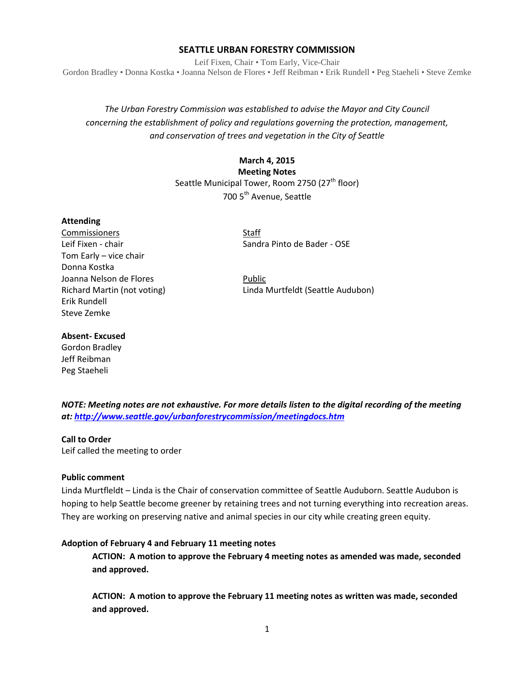### **SEATTLE URBAN FORESTRY COMMISSION**

Leif Fixen, Chair • Tom Early, Vice-Chair Gordon Bradley • Donna Kostka • Joanna Nelson de Flores • Jeff Reibman • Erik Rundell • Peg Staeheli • Steve Zemke

# *The Urban Forestry Commission was established to advise the Mayor and City Council concerning the establishment of policy and regulations governing the protection, management, and conservation of trees and vegetation in the City of Seattle*

# **March 4, 2015 Meeting Notes** Seattle Municipal Tower, Room 2750 (27<sup>th</sup> floor) 700 5<sup>th</sup> Avenue, Seattle

#### **Attending**

Commissioners Staff Tom Early – vice chair Donna Kostka Joanna Nelson de Flores **Public** Erik Rundell Steve Zemke

Leif Fixen - chair Sandra Pinto de Bader - OSE

Richard Martin (not voting) Linda Murtfeldt (Seattle Audubon)

#### **Absent- Excused**

Gordon Bradley Jeff Reibman Peg Staeheli

*NOTE: Meeting notes are not exhaustive. For more details listen to the digital recording of the meeting at:<http://www.seattle.gov/urbanforestrycommission/meetingdocs.htm>*

#### **Call to Order**

Leif called the meeting to order

#### **Public comment**

Linda Murtfleldt – Linda is the Chair of conservation committee of Seattle Auduborn. Seattle Audubon is hoping to help Seattle become greener by retaining trees and not turning everything into recreation areas. They are working on preserving native and animal species in our city while creating green equity.

## **Adoption of February 4 and February 11 meeting notes**

**ACTION: A motion to approve the February 4 meeting notes as amended was made, seconded and approved.** 

**ACTION: A motion to approve the February 11 meeting notes as written was made, seconded and approved.**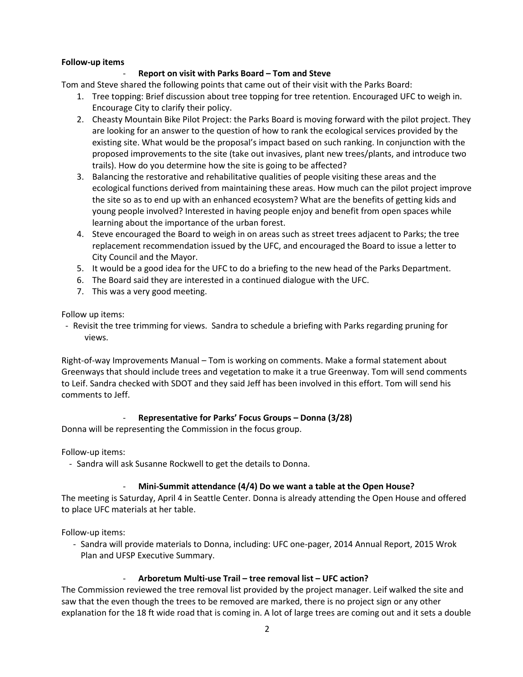#### **Follow-up items**

### - **Report on visit with Parks Board – Tom and Steve**

Tom and Steve shared the following points that came out of their visit with the Parks Board:

- 1. Tree topping: Brief discussion about tree topping for tree retention. Encouraged UFC to weigh in. Encourage City to clarify their policy.
- 2. Cheasty Mountain Bike Pilot Project: the Parks Board is moving forward with the pilot project. They are looking for an answer to the question of how to rank the ecological services provided by the existing site. What would be the proposal's impact based on such ranking. In conjunction with the proposed improvements to the site (take out invasives, plant new trees/plants, and introduce two trails). How do you determine how the site is going to be affected?
- 3. Balancing the restorative and rehabilitative qualities of people visiting these areas and the ecological functions derived from maintaining these areas. How much can the pilot project improve the site so as to end up with an enhanced ecosystem? What are the benefits of getting kids and young people involved? Interested in having people enjoy and benefit from open spaces while learning about the importance of the urban forest.
- 4. Steve encouraged the Board to weigh in on areas such as street trees adjacent to Parks; the tree replacement recommendation issued by the UFC, and encouraged the Board to issue a letter to City Council and the Mayor.
- 5. It would be a good idea for the UFC to do a briefing to the new head of the Parks Department.
- 6. The Board said they are interested in a continued dialogue with the UFC.
- 7. This was a very good meeting.

Follow up items:

- Revisit the tree trimming for views. Sandra to schedule a briefing with Parks regarding pruning for views.

Right-of-way Improvements Manual – Tom is working on comments. Make a formal statement about Greenways that should include trees and vegetation to make it a true Greenway. Tom will send comments to Leif. Sandra checked with SDOT and they said Jeff has been involved in this effort. Tom will send his comments to Jeff.

### - **Representative for Parks' Focus Groups – Donna (3/28)**

Donna will be representing the Commission in the focus group.

Follow-up items:

- Sandra will ask Susanne Rockwell to get the details to Donna.

### - **Mini-Summit attendance (4/4) Do we want a table at the Open House?**

The meeting is Saturday, April 4 in Seattle Center. Donna is already attending the Open House and offered to place UFC materials at her table.

Follow-up items:

- Sandra will provide materials to Donna, including: UFC one-pager, 2014 Annual Report, 2015 Wrok Plan and UFSP Executive Summary.

### - **Arboretum Multi-use Trail – tree removal list – UFC action?**

The Commission reviewed the tree removal list provided by the project manager. Leif walked the site and saw that the even though the trees to be removed are marked, there is no project sign or any other explanation for the 18 ft wide road that is coming in. A lot of large trees are coming out and it sets a double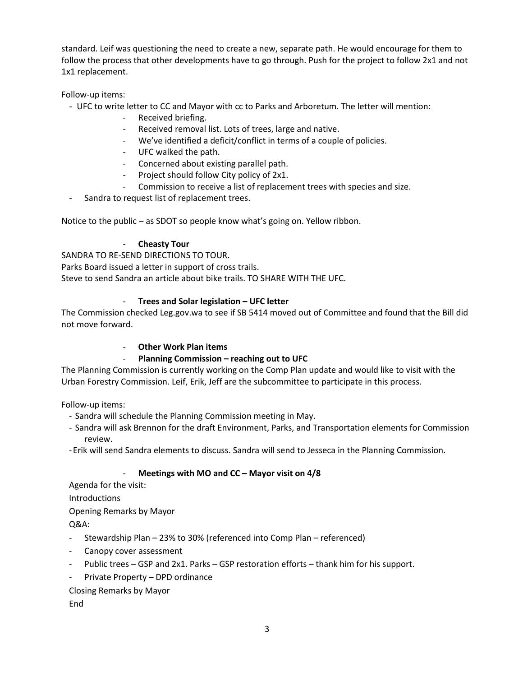standard. Leif was questioning the need to create a new, separate path. He would encourage for them to follow the process that other developments have to go through. Push for the project to follow 2x1 and not 1x1 replacement.

Follow-up items:

- UFC to write letter to CC and Mayor with cc to Parks and Arboretum. The letter will mention:
	- Received briefing.
	- Received removal list. Lots of trees, large and native.
	- We've identified a deficit/conflict in terms of a couple of policies.
	- UFC walked the path.
	- Concerned about existing parallel path.
	- Project should follow City policy of 2x1.
	- Commission to receive a list of replacement trees with species and size.
- Sandra to request list of replacement trees.

Notice to the public – as SDOT so people know what's going on. Yellow ribbon.

### - **Cheasty Tour**

SANDRA TO RE-SEND DIRECTIONS TO TOUR. Parks Board issued a letter in support of cross trails. Steve to send Sandra an article about bike trails. TO SHARE WITH THE UFC.

## - **Trees and Solar legislation – UFC letter**

The Commission checked Leg.gov.wa to see if SB 5414 moved out of Committee and found that the Bill did not move forward.

### **Other Work Plan items**

### - **Planning Commission – reaching out to UFC**

The Planning Commission is currently working on the Comp Plan update and would like to visit with the Urban Forestry Commission. Leif, Erik, Jeff are the subcommittee to participate in this process.

Follow-up items:

- Sandra will schedule the Planning Commission meeting in May.
- Sandra will ask Brennon for the draft Environment, Parks, and Transportation elements for Commission review.
- -Erik will send Sandra elements to discuss. Sandra will send to Jesseca in the Planning Commission.

### - **Meetings with MO and CC – Mayor visit on 4/8**

Agenda for the visit:

Introductions

Opening Remarks by Mayor

Q&A:

- Stewardship Plan 23% to 30% (referenced into Comp Plan referenced)
- Canopy cover assessment
- Public trees GSP and 2x1. Parks GSP restoration efforts thank him for his support.
- Private Property DPD ordinance

# Closing Remarks by Mayor

**End**